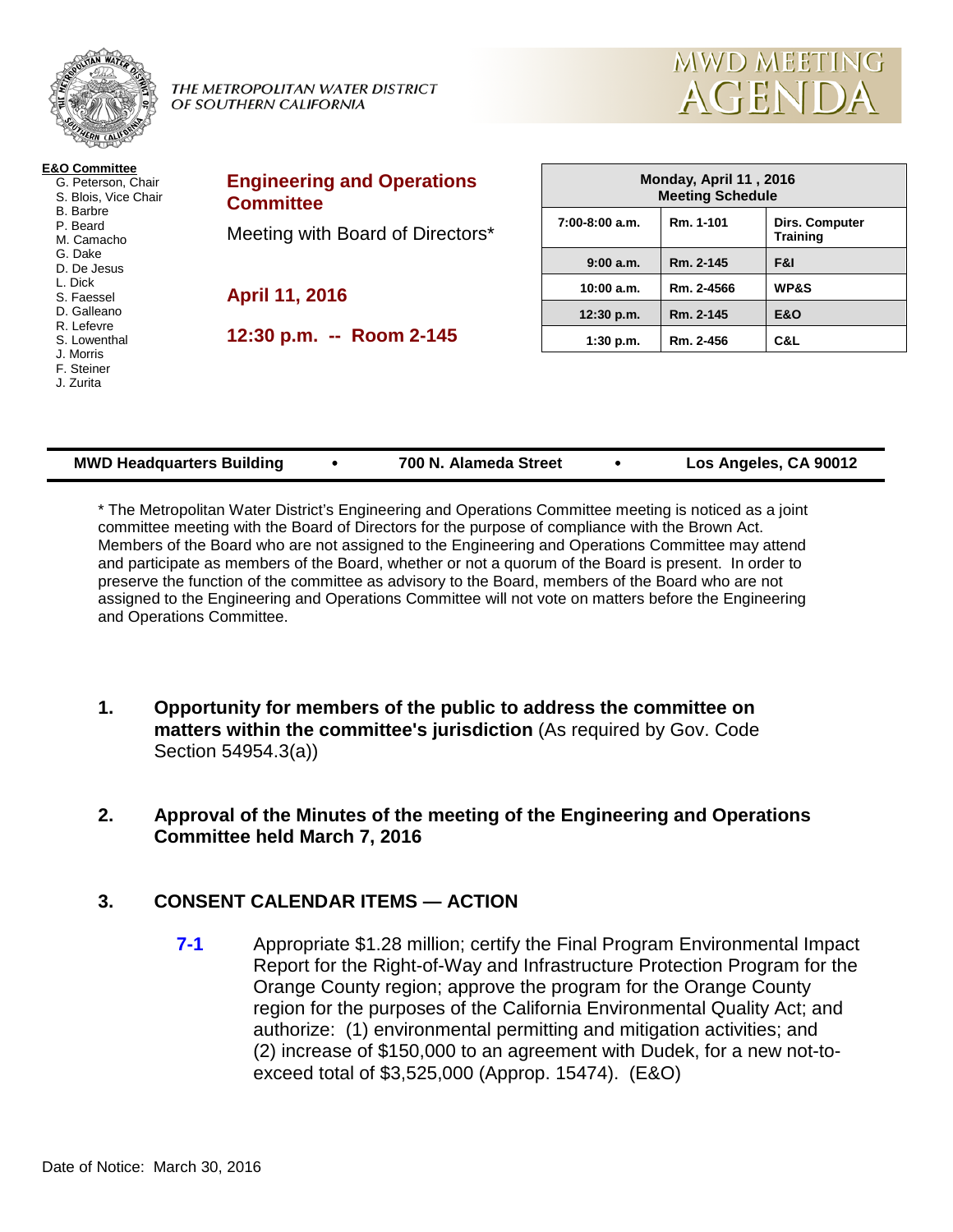

| <b>MWD Headquarters Building</b> |  | 700 N. Alameda Street |  | Los Angeles, CA 90012 |
|----------------------------------|--|-----------------------|--|-----------------------|
|----------------------------------|--|-----------------------|--|-----------------------|

\* The Metropolitan Water District's Engineering and Operations Committee meeting is noticed as a joint committee meeting with the Board of Directors for the purpose of compliance with the Brown Act. Members of the Board who are not assigned to the Engineering and Operations Committee may attend and participate as members of the Board, whether or not a quorum of the Board is present. In order to preserve the function of the committee as advisory to the Board, members of the Board who are not assigned to the Engineering and Operations Committee will not vote on matters before the Engineering and Operations Committee.

- **1. Opportunity for members of the public to address the committee on matters within the committee's jurisdiction** (As required by Gov. Code Section 54954.3(a))
- **2. Approval of the Minutes of the meeting of the Engineering and Operations Committee held March 7, 2016**

# **3. CONSENT CALENDAR ITEMS — ACTION**

**7-1** Appropriate \$1.28 million; certify the Final Program Environmental Impact Report for the Right-of-Way and Infrastructure Protection Program for the Orange County region; approve the program for the Orange County region for the purposes of the California Environmental Quality Act; and authorize: (1) environmental permitting and mitigation activities; and (2) increase of \$150,000 to an agreement with Dudek, for a new not-toexceed total of \$3,525,000 (Approp. 15474). (E&O)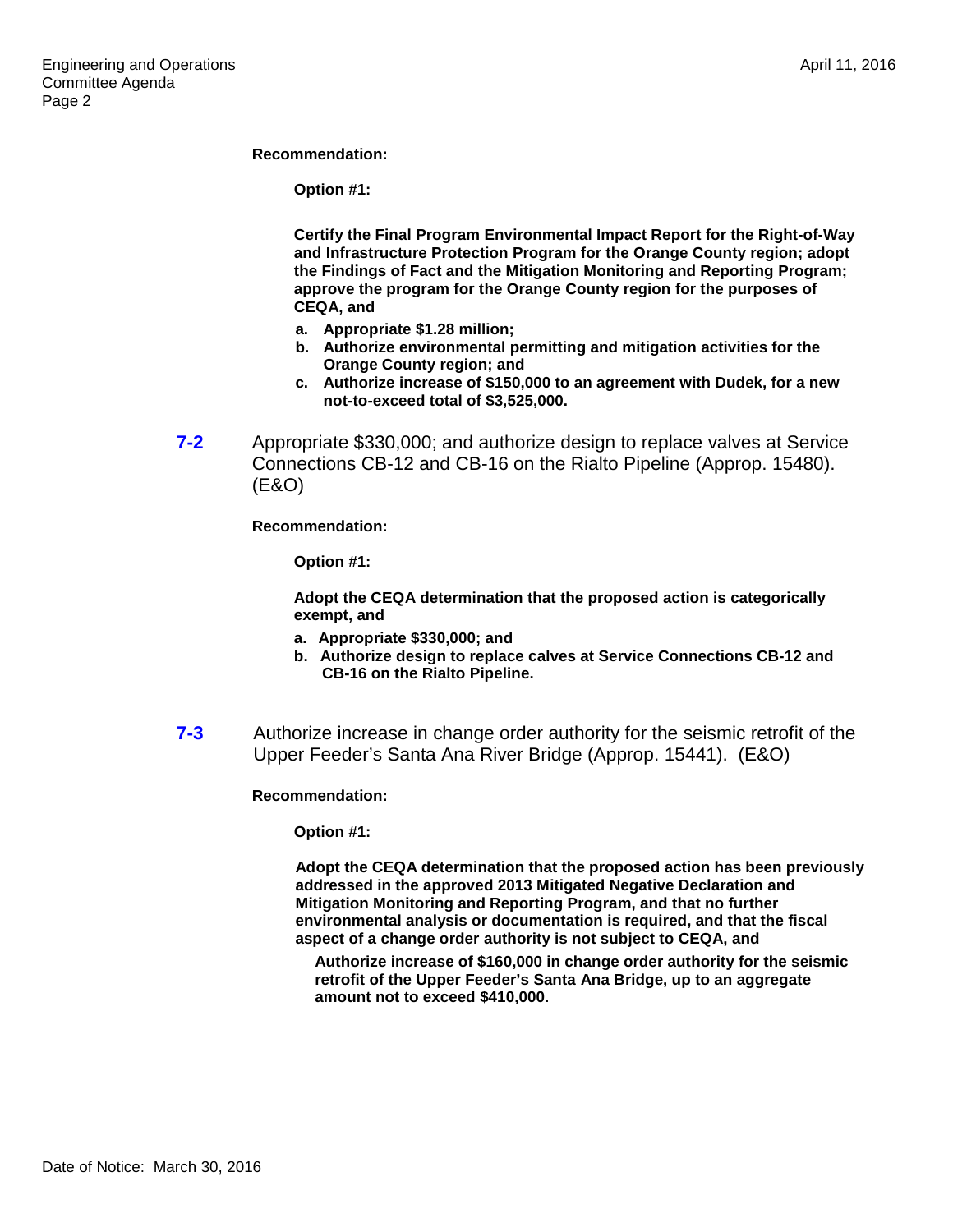#### **Recommendation:**

**Option #1:**

**Certify the Final Program Environmental Impact Report for the Right-of-Way and Infrastructure Protection Program for the Orange County region; adopt the Findings of Fact and the Mitigation Monitoring and Reporting Program; approve the program for the Orange County region for the purposes of CEQA, and** 

- **a. Appropriate \$1.28 million;**
- **b. Authorize environmental permitting and mitigation activities for the Orange County region; and**
- **c. Authorize increase of \$150,000 to an agreement with Dudek, for a new not-to-exceed total of \$3,525,000.**
- **7-2** Appropriate \$330,000; and authorize design to replace valves at Service Connections CB-12 and CB-16 on the Rialto Pipeline (Approp. 15480). (E&O)

**Recommendation:**

**Option #1:**

**Adopt the CEQA determination that the proposed action is categorically exempt, and**

- **a. Appropriate \$330,000; and**
- **b. Authorize design to replace calves at Service Connections CB-12 and CB-16 on the Rialto Pipeline.**
- **7-3** Authorize increase in change order authority for the seismic retrofit of the Upper Feeder's Santa Ana River Bridge (Approp. 15441). (E&O)

#### **Recommendation:**

**Option #1:**

**Adopt the CEQA determination that the proposed action has been previously addressed in the approved 2013 Mitigated Negative Declaration and Mitigation Monitoring and Reporting Program, and that no further environmental analysis or documentation is required, and that the fiscal aspect of a change order authority is not subject to CEQA, and**

**Authorize increase of \$160,000 in change order authority for the seismic retrofit of the Upper Feeder's Santa Ana Bridge, up to an aggregate amount not to exceed \$410,000.**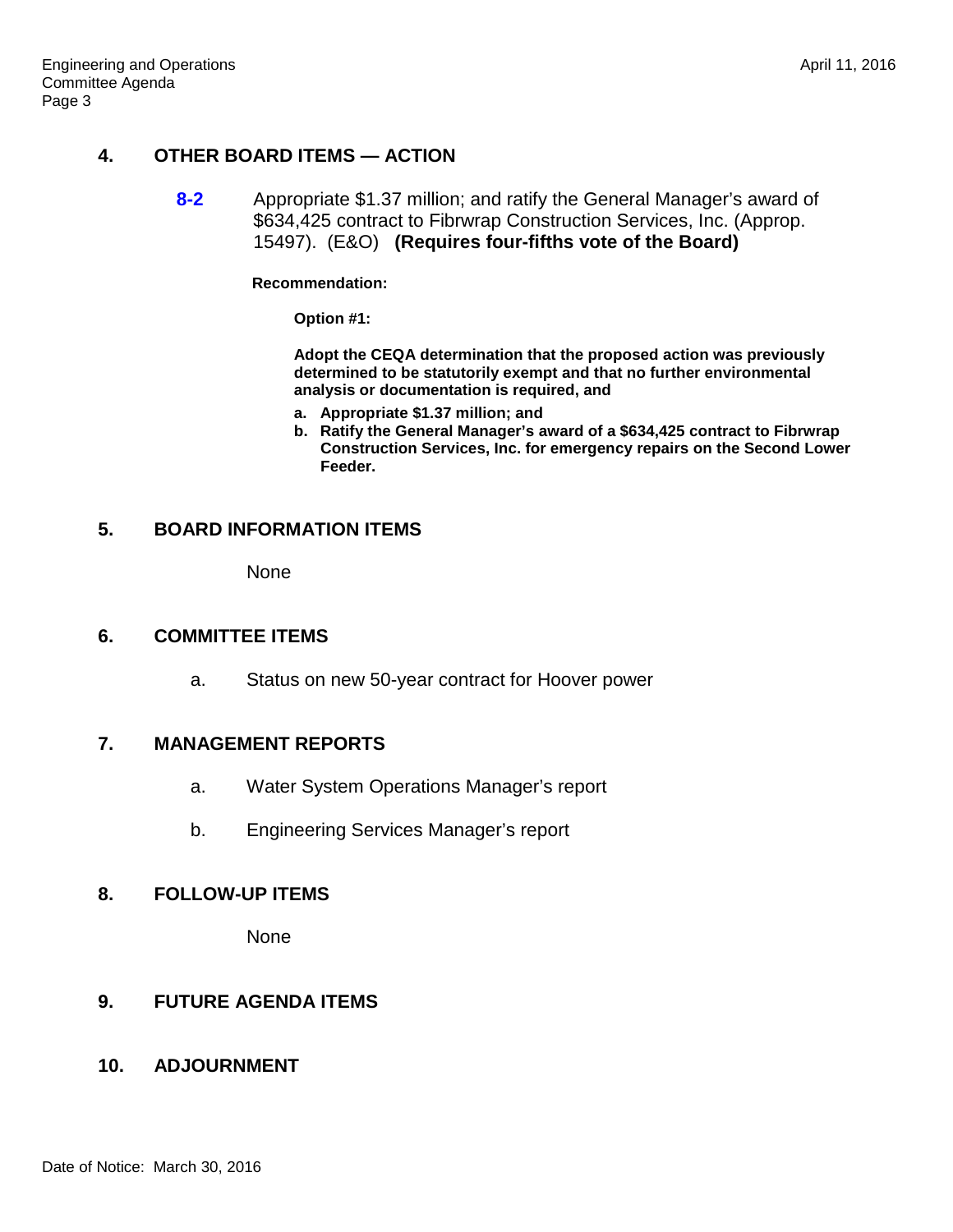# **4. OTHER BOARD ITEMS — ACTION**

**8-2** Appropriate \$1.37 million; and ratify the General Manager's award of \$634,425 contract to Fibrwrap Construction Services, Inc. (Approp. 15497). (E&O) **(Requires four-fifths vote of the Board)**

**Recommendation:**

**Option #1:**

**Adopt the CEQA determination that the proposed action was previously determined to be statutorily exempt and that no further environmental analysis or documentation is required, and**

- **a. Appropriate \$1.37 million; and**
- **b. Ratify the General Manager's award of a \$634,425 contract to Fibrwrap Construction Services, Inc. for emergency repairs on the Second Lower Feeder.**

### **5. BOARD INFORMATION ITEMS**

None

### **6. COMMITTEE ITEMS**

a. Status on new 50-year contract for Hoover power

### **7. MANAGEMENT REPORTS**

- a. Water System Operations Manager's report
- b. Engineering Services Manager's report

### **8. FOLLOW-UP ITEMS**

None

# **9. FUTURE AGENDA ITEMS**

### **10. ADJOURNMENT**